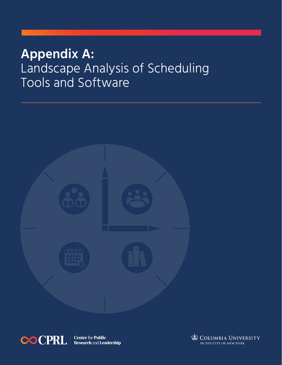# **Appendix A:** Landscape Analysis of Scheduling Tools and Software





**Center for Public Research and Leadership** 

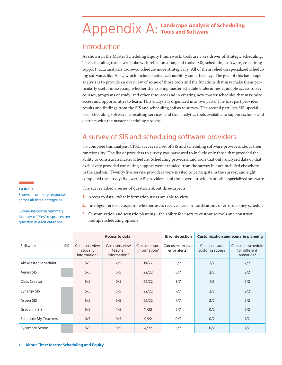# Appendix A: Landscape Analysis of Scheduling<br>**Appendix A: Tools and Software Tools and Software**

## Introduction

As shown in the Master Scheduling Equity Framework, tools are a key driver of strategic scheduling. The scheduling teams we spoke with relied on a range of tools—SIS, scheduling software, consulting support, data analytics tools—to schedule more strategically. All of them relied on specialized scheduling software, like Abl's, which included enhanced usability and efficiency. The goal of this landscape analysis is to provide an overview of some of those tools and the functions that may make them particularly useful in assessing whether the existing master schedule undermines equitable access to key courses, programs of study, and other resources and in creating new master schedules that maximize access and opportunities to learn. This analysis is organized into two parts: The first part provides results and findings from the SIS and scheduling software survey. The second part lists SIS, specialized scheduling software, consulting services, and data analytics tools available to support schools and districts with the master scheduling process.

## A survey of SIS and scheduling software providers

To complete this analysis, CPRL surveyed a set of SIS and scheduling software providers about their functionality. The list of providers to survey was narrowed to include only those that provided the ability to construct a master schedule. Scheduling providers and tools that only analyzed data or that exclusively provided consulting support were excluded from the survey but are included elsewhere in the analysis. Twenty-five service providers were invited to participate in the survey, and eight completed the survey: five were SIS providers, and three were providers of other specialized software.

The survey asked a series of questions about three aspects:

- **1.** Access to data—what information users are able to view
- **2.** Intelligent error detection—whether users receive alerts or notifications of errors as they schedule
- **3.** Customization and scenario planning—the ability for users to customize tools and construct multiple scheduling options

|                      |     |                                           | <b>Access to data</b>                     |                                                                      | <b>Error detection</b> |                                  | <b>Customization and scenario planning</b>        |  |  |
|----------------------|-----|-------------------------------------------|-------------------------------------------|----------------------------------------------------------------------|------------------------|----------------------------------|---------------------------------------------------|--|--|
| Software             | SIS | Can users view<br>student<br>information? | Can users view<br>teacher<br>information? | Can users receive<br>Can users sort<br>information?<br>error alerts? |                        | Can users add<br>customizations? | Can users schedule<br>for different<br>scenarios? |  |  |
| Abl Master Scheduler |     | 5/5                                       | 2/5                                       | 19/22                                                                | 5/7                    | 2/2                              | 2/2                                               |  |  |
| Aeries SIS           |     | 5/5                                       | 5/5                                       | 22/22                                                                | 6/7                    | 2/2                              | 2/2                                               |  |  |
| Class Creator        |     | 5/5                                       | 0/5                                       | 22/22                                                                | 3/7                    | 1/2                              | 2/2                                               |  |  |
| Synergy SIS          |     | 5/5                                       | 5/5                                       | 22/22                                                                | 7/7                    | 2/2                              | 2/2                                               |  |  |
| Aspen SIS            |     | 5/5                                       | 5/5                                       | 22/22                                                                | 7/7                    | 2/2                              | 2/2                                               |  |  |
| Gradelink SIS        |     | 5/5                                       | 4/5                                       | 11/22                                                                | 2/7                    | 0/2                              | 2/2                                               |  |  |
| Schedule My Teachers |     | 0/5                                       | 0/5                                       | 0/22                                                                 | 0/7                    | 0/2                              | 1/2                                               |  |  |
| Sycamore School      |     | 5/5                                       | 5/5                                       | 4/22                                                                 | 5/7                    | 0/2                              | 1/2                                               |  |  |

**TABLE 1**  Shows a summary responses across all three categories

Survey Response Summary: Number of "Yes" responses per question in each category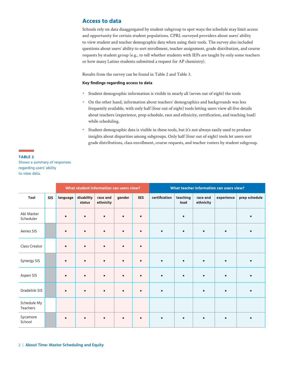### **Access to data**

Schools rely on data disaggregated by student subgroup to spot ways the schedule may limit access and opportunity for certain student populations. CPRL surveyed providers about users' ability to view student and teacher demographic data when using their tools. The survey also included questions about users' ability to sort enrollment, teacher assignment, grade distribution, and course requests by student group (e.g., to tell whether students with IEPs are taught by only some teachers or how many Latino students submitted a request for AP chemistry).

Results from the survey can be found in Table 2 and Table 3.

#### **Key findings regarding access to data**

- **•** Student demographic information is visible in nearly all (seven out of eight) the tools
- On the other hand, information about teachers' demographics and backgrounds was less frequently available, with only half (four out of eight) tools letting users view all five details about teachers (experience, prep schedule, race and ethnicity, certification, and teaching load) while scheduling.
- Student demographic data is visible in these tools, but it's not always easily used to produce insights about disparities among subgroups. Only half (four out of eight) tools let users sort grade distributions, class enrollment, course requests, and teacher rosters by student subgroup.

#### **TABLE 2**

Shows a summary of responses regarding users' ability to view data.

|                         |            |          |                      | What student information can users view? |           |            | What teacher information can users view? |                  |                       |            |               |  |  |
|-------------------------|------------|----------|----------------------|------------------------------------------|-----------|------------|------------------------------------------|------------------|-----------------------|------------|---------------|--|--|
| Tool                    | <b>SIS</b> | language | disability<br>status | race and<br>ethnicity                    | gender    | <b>SES</b> | certification                            | teaching<br>load | race and<br>ethnicity | experience | prep schedule |  |  |
| Abl Master<br>Scheduler |            |          |                      |                                          | $\bullet$ | $\bullet$  |                                          |                  |                       |            |               |  |  |
| Aeries SIS              |            |          |                      |                                          |           | $\bullet$  | $\bullet$                                | $\bullet$        | $\bullet$             | $\bullet$  | $\bullet$     |  |  |
| Class Creator           |            |          |                      |                                          |           |            |                                          |                  |                       |            |               |  |  |
| Synergy SIS             |            |          |                      |                                          |           |            | $\bullet$                                |                  |                       |            |               |  |  |
| Aspen SIS               |            |          |                      |                                          |           |            | $\bullet$                                |                  | $\bullet$             |            |               |  |  |
| Gradelink SIS           |            |          |                      |                                          |           | ٠          | $\bullet$                                |                  | $\bullet$             | $\bullet$  | $\bullet$     |  |  |
| Schedule My<br>Teachers |            |          |                      |                                          |           |            |                                          |                  |                       |            |               |  |  |
| Sycamore<br>School      |            |          |                      |                                          |           |            | $\bullet$                                |                  |                       |            |               |  |  |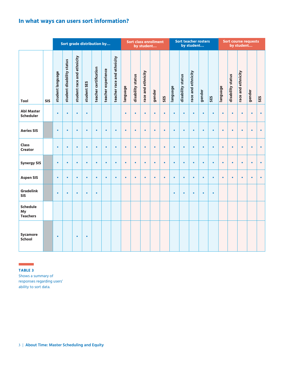# **In what ways can users sort information?**

|                                          |            | Sort grade distribution by |                           |                            |             |                       |                    |                            | Sort class enrollment<br>by student |                   |                    | <b>Sort teacher rosters</b><br>by student |           |           |                   |                    | <b>Sort course requests</b><br>by student |           |           |                   |                    |           |           |
|------------------------------------------|------------|----------------------------|---------------------------|----------------------------|-------------|-----------------------|--------------------|----------------------------|-------------------------------------|-------------------|--------------------|-------------------------------------------|-----------|-----------|-------------------|--------------------|-------------------------------------------|-----------|-----------|-------------------|--------------------|-----------|-----------|
| Tool                                     | <b>SIS</b> | student language           | student disability status | student race and ethnicity | student SES | teacher certification | teacher experience | teacher race and ethnicity | language                            | disability status | race and ethnicity | gender                                    | SES       | language  | disability status | race and ethnicity | gender                                    | SES       | anguage   | disability status | race and ethnicity | gender    | SES       |
| <b>Abl Master</b><br><b>Scheduler</b>    |            | $\bullet$                  | $\bullet$                 | $\bullet$                  | $\bullet$   |                       |                    |                            | $\bullet$                           | $\bullet$         | $\bullet$          | $\bullet$                                 | $\bullet$ | $\bullet$ | $\bullet$         | $\bullet$          | $\bullet$                                 | $\bullet$ | $\bullet$ | $\bullet$         | $\bullet$          | $\bullet$ | $\bullet$ |
| <b>Aeries SIS</b>                        |            | $\bullet$                  | $\bullet$                 | $\bullet$                  | $\bullet$   | $\bullet$             | $\bullet$          | $\bullet$                  | $\bullet$                           | $\bullet$         | $\bullet$          | $\bullet$                                 | $\bullet$ | $\bullet$ | $\bullet$         | $\bullet$          | $\bullet$                                 | $\bullet$ | $\bullet$ | $\bullet$         | $\bullet$          | $\bullet$ | $\bullet$ |
| <b>Class</b><br><b>Creator</b>           |            | $\bullet$                  | $\bullet$                 | $\bullet$                  | $\bullet$   | $\bullet$             | $\bullet$          | $\bullet$                  | $\bullet$                           | $\bullet$         | $\bullet$          | $\bullet$                                 | $\bullet$ | $\bullet$ | $\bullet$         | $\bullet$          | $\bullet$                                 | $\bullet$ | $\bullet$ | $\bullet$         | $\bullet$          | $\bullet$ | $\bullet$ |
| <b>Synergy SIS</b>                       |            | $\bullet$                  | $\bullet$                 | $\bullet$                  | $\bullet$   | $\bullet$             | $\bullet$          | $\bullet$                  | $\bullet$                           | $\bullet$         | $\bullet$          | $\bullet$                                 | $\bullet$ | $\bullet$ | $\bullet$         | $\bullet$          | $\bullet$                                 | $\bullet$ | $\bullet$ | $\bullet$         | $\bullet$          | $\bullet$ | $\bullet$ |
| <b>Aspen SIS</b>                         |            | $\bullet$                  | $\bullet$                 | ٠                          | $\bullet$   | $\bullet$             | $\bullet$          | $\bullet$                  | $\bullet$                           | $\bullet$         | $\bullet$          | $\bullet$                                 | $\bullet$ | $\bullet$ | $\bullet$         | $\bullet$          | $\bullet$                                 | $\bullet$ | ٠         | $\bullet$         | $\bullet$          | $\bullet$ | $\bullet$ |
| <b>Gradelink</b><br><b>SIS</b>           |            | $\bullet$                  | $\bullet$                 | $\bullet$                  | $\bullet$   | $\bullet$             |                    |                            |                                     |                   |                    |                                           |           | $\bullet$ | $\bullet$         | $\bullet$          | $\bullet$                                 | $\bullet$ |           |                   |                    |           |           |
| <b>Schedule</b><br>My<br><b>Teachers</b> |            |                            |                           |                            |             |                       |                    |                            |                                     |                   |                    |                                           |           |           |                   |                    |                                           |           |           |                   |                    |           |           |
| <b>Sycamore</b><br><b>School</b>         |            | $\bullet$                  |                           | $\bullet$                  | $\bullet$   |                       |                    |                            |                                     |                   |                    |                                           |           |           |                   |                    |                                           |           |           |                   |                    |           |           |

#### $\mathcal{L}^{\text{max}}_{\text{max}}$  , where  $\mathcal{L}^{\text{max}}_{\text{max}}$ **TABLE 3**

Shows a summary of responses regarding users' ability to sort data.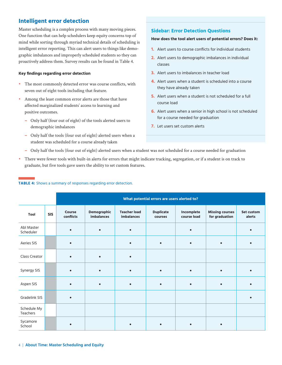## **Intelligent error detection**

Master scheduling is a complex process with many moving pieces. One function that can help schedulers keep equity concerns top of mind while sorting through myriad technical details of scheduling is intelligent error reporting. This can alert users to things like demographic imbalances and improperly scheduled students so they can proactively address them. Survey results can be found in Table 4.

#### **Key findings regarding error detection**

- **•** The most commonly detected error was course conflicts, with seven out of eight tools including that feature.
- Among the least common error alerts are those that have affected marginalized students' access to learning and positive outcomes.
	- **–** Only half (four out of eight) of the tools alerted users to demographic imbalances
	- **–** Only half the tools (four out of eight) alerted users when a student was scheduled for a course already taken

#### **Sidebar: Error Detection Questions**

#### **How does the tool alert users of potential errors? Does it:**

- **1.** Alert users to course conflicts for individual students
- **2.** Alert users to demographic imbalances in individual classes
- **3.** Alert users to imbalances in teacher load
- **4.** Alert users when a student is scheduled into a course they have already taken
- **5.** Alert users when a student is not scheduled for a full course load
- **6.** Alert users when a senior in high school is not scheduled for a course needed for graduation
- **7.** Let users set custom alerts
- **–** Only half the tools (four out of eight) alerted users when a student was not scheduled for a course needed for graduation
- There were fewer tools with built-in alerts for errors that might indicate tracking, segregation, or if a student is on track to graduate, but five tools gave users the ability to set custom features.

#### **Tool SIS Course conflicts Demographic imbalances Teacher load imbalances Duplicate courses Incomplete course load Missing courses for graduation Set custom alerts**  Abl Master<br>Scheduler Scheduler **• • • • •** Aeries SIS **• • • • • •** Class Creator **• • •** Synergy SIS **• • • • • • •** Aspen SIS **• • • • • • •** Gradelink SIS **• •** Schedule My **Teachers** Sycamore<br>School School **• • • • • What potential errors are users alerted to?**

#### **TABLE 4:** Shows a summary of responses regarding error detection.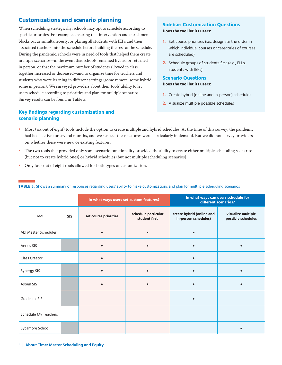## **Customizations and scenario planning**

When scheduling strategically, schools may opt to schedule according to specific priorities. For example, ensuring that intervention and enrichment blocks occur simultaneously, or placing all students with IEPs and their associated teachers into the schedule before building the rest of the schedule. During the pandemic, schools were in need of tools that helped them create multiple scenarios—in the event that schools remained hybrid or returned in person, or that the maximum number of students allowed in class together increased or decreased—and to organize time for teachers and students who were learning in different settings (some remote, some hybrid, some in person). We surveyed providers about their tools' ability to let users schedule according to priorities and plan for multiple scenarios. Survey results can be found in Table 5.

#### **Key findings regarding customization and scenario planning**

#### **Sidebar: Customization Questions Does the tool let its users:**

- **1.** Set course priorities (i.e., designate the order in which individual courses or categories of courses are scheduled)
- **2.** Schedule groups of students first (e.g., ELLs, students with IEPs)

#### **Scenario Questions Does the tool let its users:**

- **1.** Create hybrid (online and in-person) schedules
- **2.** Visualize multiple possible schedules
- Most (six out of eight) tools include the option to create multiple and hybrid schedules. At the time of this survey, the pandemic had been active for several months, and we suspect these features were particularly in demand. But we did not survey providers on whether these were new or existing features.
- The two tools that provided only some scenario functionality provided the ability to create either multiple scheduling scenarios (but not to create hybrid ones) or hybrid schedules (but not multiple scheduling scenarios)
- **•** Only four out of eight tools allowed for both types of customization.

|                      |            | In what ways users set custom features? |                                      | In what ways can users schedule for<br>different scenarios? |                                          |  |  |  |  |
|----------------------|------------|-----------------------------------------|--------------------------------------|-------------------------------------------------------------|------------------------------------------|--|--|--|--|
| Tool                 | <b>SIS</b> | set course priorities                   | schedule particular<br>student first | create hybrid (online and<br>in-person schedules)           | visualize multiple<br>possible schedules |  |  |  |  |
| Abl Master Scheduler |            |                                         |                                      |                                                             |                                          |  |  |  |  |
| Aeries SIS           |            |                                         |                                      |                                                             |                                          |  |  |  |  |
| Class Creator        |            |                                         |                                      |                                                             |                                          |  |  |  |  |
| Synergy SIS          |            | $\bullet$                               |                                      |                                                             |                                          |  |  |  |  |
| Aspen SIS            |            |                                         |                                      |                                                             | ٠                                        |  |  |  |  |
| <b>Gradelink SIS</b> |            |                                         |                                      |                                                             |                                          |  |  |  |  |
| Schedule My Teachers |            |                                         |                                      |                                                             |                                          |  |  |  |  |
| Sycamore School      |            |                                         |                                      |                                                             |                                          |  |  |  |  |

**TABLE 5:** Shows a summary of responses regarding users' ability to make customizations and plan for multilple scheduling scenarios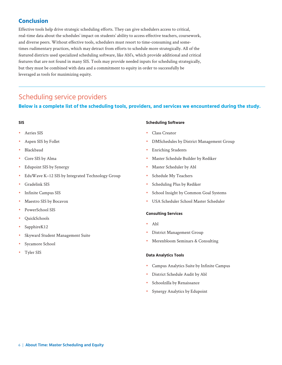## **Conclusion**

Effective tools help drive strategic scheduling efforts. They can give schedulers access to critical, real-time data about the schedules' impact on students' ability to access effective teachers, coursework, and diverse peers. Without effective tools, schedulers must resort to time-consuming and sometimes rudimentary practices, which may detract from efforts to schedule more strategically. All of the featured districts used specialized scheduling software, like Abl's, which provide additional and critical features that are not found in many SIS. Tools may provide needed inputs for scheduling strategically, but they must be combined with data and a commitment to equity in order to successfully be leveraged as tools for maximizing equity.

# Scheduling service providers

**Below is a complete list of the scheduling tools, providers, and services we encountered during the study.**

#### **SIS**

- **•** Aeries SIS
- **•** Aspen SIS by Follet
- **•** Blackbaud
- **•** Core SIS by Alma
- **•** Edupoint SIS by Synergy
- **•** EduWave K–12 SIS by Integrated Technology Group
- **•** Gradelink SIS
- **•** Infinite Campus SIS
- **•** Maestro SIS by Bocavox
- **•** PowerSchool SIS
- **•** QuickSchools
- **•** SapphireK12
- **•** Skyward Student Management Suite
- **•** Sycamore School
- **•** Tyler SIS

#### **Scheduling Software**

- **•** Class Creator
- **•** DMSchedules by District Management Group
- **•** Enriching Students
- **•** Master Schedule Builder by Rediker
- **•** Master Scheduler by Abl
- **•** Schedule My Teachers
- **•** Scheduling Plus by Rediker
- **•** School Insight by Common Goal Systems
- **•** USA Scheduler School Master Scheduler

#### **Consulting Services**

- **•** Abl
- **•** District Management Group
- **•** Merenbloom Seminars & Consulting

#### **Data Analytics Tools**

- **•** Campus Analytics Suite by Infinite Campus
- **•** District Schedule Audit by Abl
- **•** Schoolzilla by Renaissance
- **•** Synergy Analytics by Edupoint